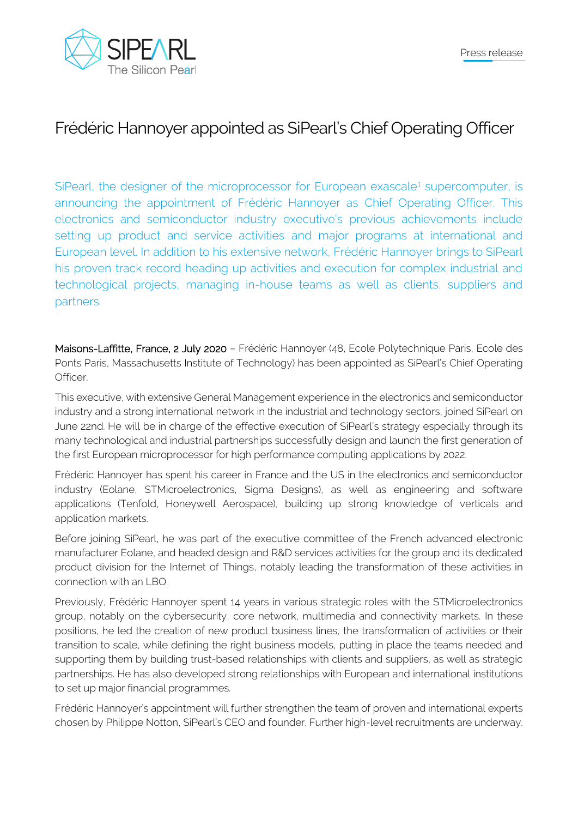

## Frédéric Hannoyer appointed as SiPearl's Chief Operating Officer

SiPearl, the designer of the microprocessor for European exascale<sup>1</sup> supercomputer, is announcing the appointment of Frédéric Hannoyer as Chief Operating Officer. This electronics and semiconductor industry executive's previous achievements include setting up product and service activities and major programs at international and European level. In addition to his extensive network, Frédéric Hannoyer brings to SiPearl his proven track record heading up activities and execution for complex industrial and technological projects, managing in-house teams as well as clients, suppliers and partners.

Maisons-Laffitte, France, 2 July 2020 – Frédéric Hannoyer (48, Ecole Polytechnique Paris, Ecole des Ponts Paris, Massachusetts Institute of Technology) has been appointed as SiPearl's Chief Operating Officer.

This executive, with extensive General Management experience in the electronics and semiconductor industry and a strong international network in the industrial and technology sectors, joined SiPearl on June 22nd. He will be in charge of the effective execution of SiPearl's strategy especially through its many technological and industrial partnerships successfully design and launch the first generation of the first European microprocessor for high performance computing applications by 2022.

Frédéric Hannoyer has spent his career in France and the US in the electronics and semiconductor industry (Eolane, STMicroelectronics, Sigma Designs), as well as engineering and software applications (Tenfold, Honeywell Aerospace), building up strong knowledge of verticals and application markets.

Before joining SiPearl, he was part of the executive committee of the French advanced electronic manufacturer Eolane, and headed design and R&D services activities for the group and its dedicated product division for the Internet of Things, notably leading the transformation of these activities in connection with an LBO.

Previously, Frédéric Hannoyer spent 14 years in various strategic roles with the STMicroelectronics group, notably on the cybersecurity, core network, multimedia and connectivity markets. In these positions, he led the creation of new product business lines, the transformation of activities or their transition to scale, while defining the right business models, putting in place the teams needed and supporting them by building trust-based relationships with clients and suppliers, as well as strategic partnerships. He has also developed strong relationships with European and international institutions to set up major financial programmes.

Frédéric Hannoyer's appointment will further strengthen the team of proven and international experts chosen by Philippe Notton, SiPearl's CEO and founder. Further high-level recruitments are underway.